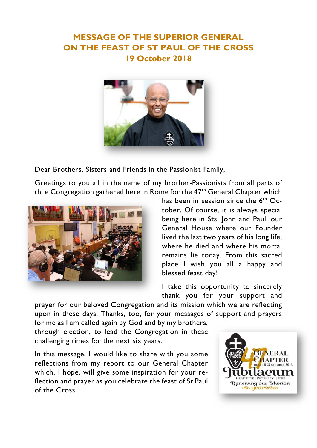## **MESSAGE OF THE SUPERIOR GENERAL ON THE FEAST OF ST PAUL OF THE CROSS 19 October 2018**



Dear Brothers, Sisters and Friends in the Passionist Family,

Greetings to you all in the name of my brother-Passionists from all parts of th e Congregation gathered here in Rome for the  $47<sup>th</sup>$  General Chapter which



has been in session since the  $6<sup>th</sup>$  October. Of course, it is always special being here in Sts. John and Paul, our General House where our Founder lived the last two years of his long life, where he died and where his mortal remains lie today. From this sacred place I wish you all a happy and blessed feast day!

I take this opportunity to sincerely thank you for your support and

prayer for our beloved Congregation and its mission which we are reflecting upon in these days. Thanks, too, for your messages of support and prayers

for me as I am called again by God and by my brothers, through election, to lead the Congregation in these challenging times for the next six years.

In this message, I would like to share with you some reflections from my report to our General Chapter which, I hope, will give some inspiration for your reflection and prayer as you celebrate the feast of St Paul of the Cross.

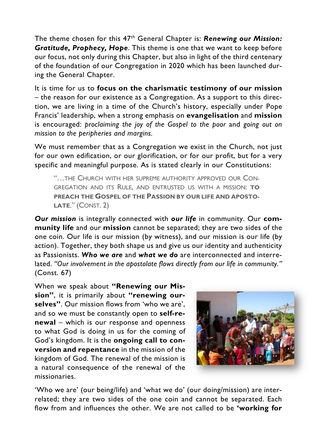The theme chosen for this 47th General Chapter is: *Renewing our Mission: Gratitude, Prophecy, Hope*. This theme is one that we want to keep before our focus, not only during this Chapter, but also in light of the third centenary of the foundation of our Congregation in 2020 which has been launched during the General Chapter.

It is time for us to **focus on the charismatic testimony of our mission** – the reason for our existence as a Congregation. As a support to this direction, we are living in a time of the Church's history, especially under Pope Francis' leadership, when a strong emphasis on **evangelisation** and **mission**  is encouraged: *proclaiming the joy of the Gospel to the poor* and *going out on mission to the peripheries and margins.* 

We must remember that as a Congregation we exist in the Church, not just for our own edification, or our glorification, or for our profit, but for a very specific and meaningful purpose. As is stated clearly in our Constitutions:

"…THE CHURCH WITH HER SUPREME AUTHORITY APPROVED OUR CON-GREGATION AND ITS RULE, AND ENTRUSTED US WITH A MISSION: **TO PREACH THE GOSPEL OF THE PASSION BY OUR LIFE AND APOSTO-LATE**." (CONST. 2)

*Our mission* is integrally connected with *our life* in community. Our **community life** and our **mission** cannot be separated; they are two sides of the one coin. Our life is our mission (by witness), and our mission is our life (by action). Together, they both shape us and give us our identity and authenticity as Passionists. *Who we are* and *what we do* are interconnected and interrelated. *"Our involvement in the apostolate flows directly from our life in community."*  (Const. 67)

When we speak about **"Renewing our Mission"**, it is primarily about **"renewing ourselves"**. Our mission flows from 'who we are', and so we must be constantly open to **self-renewal** – which is our response and openness to what God is doing in us for the coming of God's kingdom. It is the **ongoing call to conversion and repentance** in the mission of the kingdom of God. The renewal of the mission is a natural consequence of the renewal of the missionaries.



'Who we are' (our being/life) and 'what we do' (our doing/mission) are interrelated; they are two sides of the one coin and cannot be separated. Each flow from and influences the other. We are not called to be **'working for**